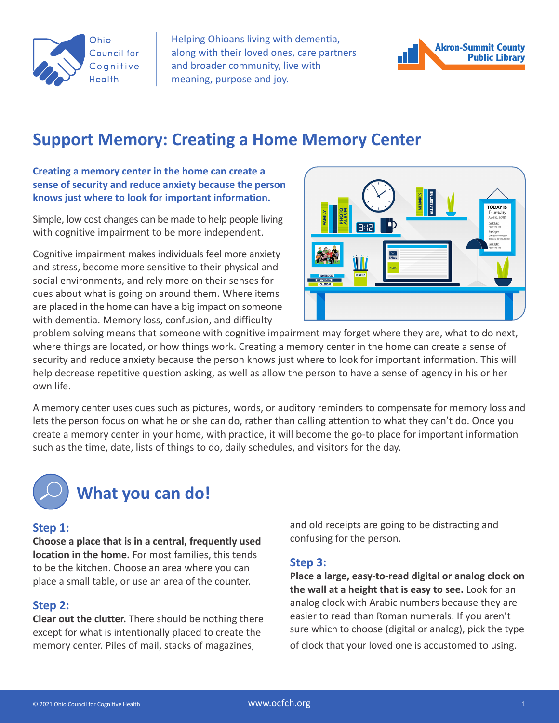

Helping Ohioans living with dementia, along with their loved ones, care partners and broader community, live with meaning, purpose and joy.



# **Support Memory: Creating a Home Memory Center**

#### **Creating a memory center in the home can create a sense of security and reduce anxiety because the person knows just where to look for important information.**

Simple, low cost changes can be made to help people living with cognitive impairment to be more independent.

Cognitive impairment makes individuals feel more anxiety and stress, become more sensitive to their physical and social environments, and rely more on their senses for cues about what is going on around them. Where items are placed in the home can have a big impact on someone with dementia. Memory loss, confusion, and difficulty



problem solving means that someone with cognitive impairment may forget where they are, what to do next, where things are located, or how things work. Creating a memory center in the home can create a sense of security and reduce anxiety because the person knows just where to look for important information. This will help decrease repetitive question asking, as well as allow the person to have a sense of agency in his or her own life.

A memory center uses cues such as pictures, words, or auditory reminders to compensate for memory loss and lets the person focus on what he or she can do, rather than calling attention to what they can't do. Once you create a memory center in your home, with practice, it will become the go-to place for important information such as the time, date, lists of things to do, daily schedules, and visitors for the day.



# **What you can do!**

#### **Step 1:**

**Choose a place that is in a central, frequently used location in the home.** For most families, this tends to be the kitchen. Choose an area where you can place a small table, or use an area of the counter.

#### **Step 2:**

**Clear out the clutter.** There should be nothing there except for what is intentionally placed to create the memory center. Piles of mail, stacks of magazines,

and old receipts are going to be distracting and confusing for the person.

#### **Step 3:**

**Place a large, easy-to-read digital or analog clock on the wall at a height that is easy to see.** Look for an analog clock with Arabic numbers because they are easier to read than Roman numerals. If you aren't sure which to choose (digital or analog), pick the type of clock that your loved one is accustomed to using.